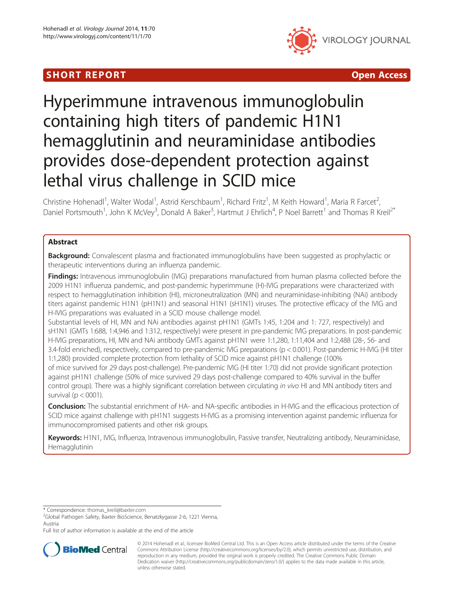# SHORT REPORT AND RESERVE THE SHORT CONTROL CONTROL CONTROL CONTROL CONTROL CONTROL CONTROL CONTROL CONTROL CONTROL CONTROL CONTROL CONTROL CONTROL CONTROL CONTROL CONTROL CONTROL CONTROL CONTROL CONTROL CONTROL CONTROL CON



# Hyperimmune intravenous immunoglobulin containing high titers of pandemic H1N1 hemagglutinin and neuraminidase antibodies provides dose-dependent protection against lethal virus challenge in SCID mice

Christine Hohenadl<sup>1</sup>, Walter Wodal<sup>1</sup>, Astrid Kerschbaum<sup>1</sup>, Richard Fritz<sup>1</sup>, M Keith Howard<sup>1</sup>, Maria R Farcet<sup>2</sup> .<br>, Daniel Portsmouth<sup>1</sup>, John K McVey<sup>3</sup>, Donald A Baker<sup>3</sup>, Hartmut J Ehrlich<sup>4</sup>, P Noel Barrett<sup>1</sup> and Thomas R Kreil<sup>2\*</sup>

# Abstract

**Background:** Convalescent plasma and fractionated immunoglobulins have been suggested as prophylactic or therapeutic interventions during an influenza pandemic.

Findings: Intravenous immunoglobulin (IVIG) preparations manufactured from human plasma collected before the 2009 H1N1 influenza pandemic, and post-pandemic hyperimmune (H)-IVIG preparations were characterized with respect to hemagglutination inhibition (HI), microneutralization (MN) and neuraminidase-inhibiting (NAi) antibody titers against pandemic H1N1 (pH1N1) and seasonal H1N1 (sH1N1) viruses. The protective efficacy of the IVIG and H-IVIG preparations was evaluated in a SCID mouse challenge model.

Substantial levels of HI, MN and NAi antibodies against pH1N1 (GMTs 1:45, 1:204 and 1: 727, respectively) and sH1N1 (GMTs 1:688, 1:4,946 and 1:312, respectively) were present in pre-pandemic IVIG preparations. In post-pandemic H-IVIG preparations, HI, MN and NAi antibody GMTs against pH1N1 were 1:1,280, 1:11,404 and 1:2,488 (28-, 56- and 3.4-fold enriched), respectively, compared to pre-pandemic IVIG preparations (p < 0.001). Post-pandemic H-IVIG (HI titer 1:1,280) provided complete protection from lethality of SCID mice against pH1N1 challenge (100%

of mice survived for 29 days post-challenge). Pre-pandemic IVIG (HI titer 1:70) did not provide significant protection against pH1N1 challenge (50% of mice survived 29 days post-challenge compared to 40% survival in the buffer control group). There was a highly significant correlation between circulating in vivo HI and MN antibody titers and survival ( $p < 0001$ ).

Conclusion: The substantial enrichment of HA- and NA-specific antibodies in H-IVIG and the efficacious protection of SCID mice against challenge with pH1N1 suggests H-IVIG as a promising intervention against pandemic influenza for immunocompromised patients and other risk groups.

Keywords: H1N1, IVIG, Influenza, Intravenous immunoglobulin, Passive transfer, Neutralizing antibody, Neuraminidase, Hemagglutinin

\* Correspondence: [thomas\\_kreil@baxter.com](mailto:thomas_kreil@baxter.com) <sup>2</sup>

<sup>2</sup>Global Pathogen Safety, Baxter BioScience, Benatzkygasse 2-6, 1221 Vienna, Austria

Full list of author information is available at the end of the article



© 2014 Hohenadl et al.; licensee BioMed Central Ltd. This is an Open Access article distributed under the terms of the Creative Commons Attribution License [\(http://creativecommons.org/licenses/by/2.0\)](http://creativecommons.org/licenses/by/2.0), which permits unrestricted use, distribution, and reproduction in any medium, provided the original work is properly credited. The Creative Commons Public Domain Dedication waiver [\(http://creativecommons.org/publicdomain/zero/1.0/](http://creativecommons.org/publicdomain/zero/1.0/)) applies to the data made available in this article, unless otherwise stated.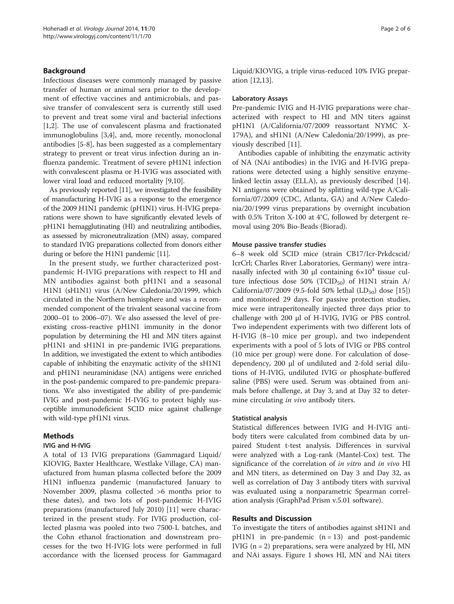# Background

Infectious diseases were commonly managed by passive transfer of human or animal sera prior to the development of effective vaccines and antimicrobials, and passive transfer of convalescent sera is currently still used to prevent and treat some viral and bacterial infections [[1,2\]](#page-4-0). The use of convalescent plasma and fractionated immunoglobulins [[3,4\]](#page-4-0), and, more recently, monoclonal antibodies [[5-8](#page-4-0)], has been suggested as a complementary strategy to prevent or treat virus infection during an influenza pandemic. Treatment of severe pH1N1 infection with convalescent plasma or H-IVIG was associated with lower viral load and reduced mortality [\[9,10](#page-4-0)].

As previously reported [\[11\]](#page-4-0), we investigated the feasibility of manufacturing H-IVIG as a response to the emergence of the 2009 H1N1 pandemic (pH1N1) virus. H-IVIG preparations were shown to have significantly elevated levels of pH1N1 hemagglutinating (HI) and neutralizing antibodies, as assessed by microneutralization (MN) assay, compared to standard IVIG preparations collected from donors either during or before the H1N1 pandemic [\[11](#page-4-0)].

In the present study, we further characterized postpandemic H-IVIG preparations with respect to HI and MN antibodies against both pH1N1 and a seasonal H1N1 (sH1N1) virus (A/New Caledonia/20/1999, which circulated in the Northern hemisphere and was a recommended component of the trivalent seasonal vaccine from 2000–01 to 2006–07). We also assessed the level of preexisting cross-reactive pH1N1 immunity in the donor population by determining the HI and MN titers against pH1N1 and sH1N1 in pre-pandemic IVIG preparations. In addition, we investigated the extent to which antibodies capable of inhibiting the enzymatic activity of the sH1N1 and pH1N1 neuraminidase (NA) antigens were enriched in the post-pandemic compared to pre-pandemic preparations. We also investigated the ability of pre-pandemic IVIG and post-pandemic H-IVIG to protect highly susceptible immunodeficient SCID mice against challenge with wild-type pH1N1 virus.

# Methods

# IVIG and H-IVIG

A total of 13 IVIG preparations (Gammagard Liquid/ KIOVIG, Baxter Healthcare, Westlake Village, CA) manufactured from human plasma collected before the 2009 H1N1 influenza pandemic (manufactured January to November 2009, plasma collected >6 months prior to these dates), and two lots of post-pandemic H-IVIG preparations (manufactured July 2010) [[11\]](#page-4-0) were characterized in the present study. For IVIG production, collected plasma was pooled into two 7500-L batches, and the Cohn ethanol fractionation and downstream processes for the two H-IVIG lots were performed in full accordance with the licensed process for Gammagard Liquid/KIOVIG, a triple virus-reduced 10% IVIG preparation [\[12,13](#page-4-0)].

#### Laboratory Assays

Pre-pandemic IVIG and H-IVIG preparations were characterized with respect to HI and MN titers against pH1N1 (A/California/07/2009 reassortant NYMC X-179A), and sH1N1 (A/New Caledonia/20/1999), as previously described [[11\]](#page-4-0).

Antibodies capable of inhibiting the enzymatic activity of NA (NAi antibodies) in the IVIG and H-IVIG preparations were detected using a highly sensitive enzymelinked lectin assay (ELLA), as previously described [\[14](#page-4-0)]. N1 antigens were obtained by splitting wild-type A/California/07/2009 (CDC, Atlanta, GA) and A/New Caledonia/20/1999 virus preparations by overnight incubation with 0.5% Triton X-100 at 4°C, followed by detergent removal using 20% Bio-Beads (Biorad).

#### Mouse passive transfer studies

6–8 week old SCID mice (strain CB17/Icr-Prkdcscid/ IcrCrl; Charles River Laboratories, Germany) were intranasally infected with 30 μl containing  $6×10<sup>4</sup>$  tissue culture infectious dose 50% (TCID<sub>50</sub>) of H1N1 strain A/ California/07/2009 (9.5-fold 50% lethal  $(LD_{50})$  dose [\[15](#page-4-0)]) and monitored 29 days. For passive protection studies, mice were intraperitoneally injected three days prior to challenge with 200 μl of H-IVIG, IVIG or PBS control. Two independent experiments with two different lots of H-IVIG (8–10 mice per group), and two independent experiments with a pool of 5 lots of IVIG or PBS control (10 mice per group) were done. For calculation of dosedependency, 200 μl of undiluted and 2-fold serial dilutions of H-IVIG, undiluted IVIG or phosphate-buffered saline (PBS) were used. Serum was obtained from animals before challenge, at Day 3, and at Day 32 to determine circulating *in vivo* antibody titers.

#### Statistical analysis

Statistical differences between IVIG and H-IVIG antibody titers were calculated from combined data by unpaired Student t-test analysis. Differences in survival were analyzed with a Log-rank (Mantel-Cox) test. The significance of the correlation of *in vitro* and *in vivo* HI and MN titers, as determined on Day 3 and Day 32, as well as correlation of Day 3 antibody titers with survival was evaluated using a nonparametric Spearman correlation analysis (GraphPad Prism v.5.01 software).

# Results and Discussion

To investigate the titers of antibodies against sH1N1 and  $pH1N1$  in pre-pandemic  $(n = 13)$  and post-pandemic IVIG  $(n = 2)$  preparations, sera were analyzed by HI, MN and NAi assays. Figure [1](#page-2-0) shows HI, MN and NAi titers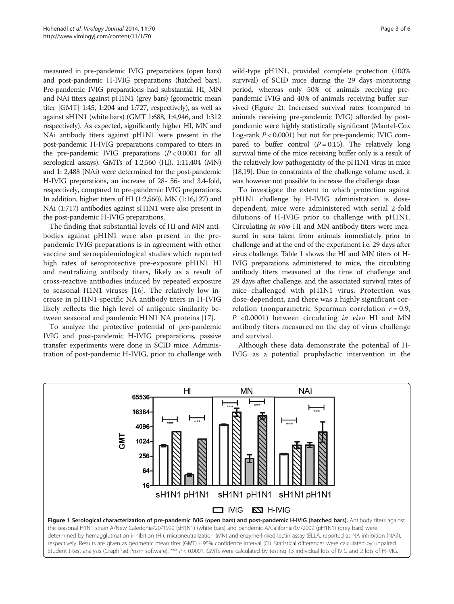<span id="page-2-0"></span>measured in pre-pandemic IVIG preparations (open bars) and post-pandemic H-IVIG preparations (hatched bars). Pre-pandemic IVIG preparations had substantial HI, MN and NAi titers against pH1N1 (grey bars) (geometric mean titer [GMT] 1:45, 1:204 and 1:727, respectively), as well as against sH1N1 (white bars) (GMT 1:688, 1:4,946, and 1:312 respectively). As expected, significantly higher HI, MN and NAi antibody titers against pH1N1 were present in the post-pandemic H-IVIG preparations compared to titers in the pre-pandemic IVIG preparations  $(P < 0.0001$  for all serological assays). GMTs of 1:2,560 (HI), 1:11,404 (MN) and 1: 2,488 (NAi) were determined for the post-pandemic H-IVIG preparations, an increase of 28- 56- and 3.4-fold, respectively, compared to pre-pandemic IVIG preparations. In addition, higher titers of HI (1:2,560), MN (1:16,127) and NAi (1:717) antibodies against sH1N1 were also present in the post-pandemic H-IVIG preparations.

The finding that substantial levels of HI and MN antibodies against pH1N1 were also present in the prepandemic IVIG preparations is in agreement with other vaccine and seroepidemiological studies which reported high rates of seroprotective pre-exposure pH1N1 HI and neutralizing antibody titers, likely as a result of cross-reactive antibodies induced by repeated exposure to seasonal H1N1 viruses [[16\]](#page-4-0). The relatively low increase in pH1N1-specific NA antibody titers in H-IVIG likely reflects the high level of antigenic similarity between seasonal and pandemic H1N1 NA proteins [\[17\]](#page-4-0).

To analyze the protective potential of pre-pandemic IVIG and post-pandemic H-IVIG preparations, passive transfer experiments were done in SCID mice. Administration of post-pandemic H-IVIG, prior to challenge with wild-type pH1N1, provided complete protection (100% survival) of SCID mice during the 29 days monitoring period, whereas only 50% of animals receiving prepandemic IVIG and 40% of animals receiving buffer survived (Figure [2\)](#page-3-0). Increased survival rates (compared to animals receiving pre-pandemic IVIG) afforded by postpandemic were highly statistically significant (Mantel-Cox Log-rank  $P < 0.0001$ ) but not for pre-pandemic IVIG compared to buffer control  $(P = 0.15)$ . The relatively long survival time of the mice receiving buffer only is a result of the relatively low pathogenicity of the pH1N1 virus in mice [[18,19\]](#page-4-0). Due to constraints of the challenge volume used, it was however not possible to increase the challenge dose.

To investigate the extent to which protection against pH1N1 challenge by H-IVIG administration is dosedependent, mice were administered with serial 2-fold dilutions of H-IVIG prior to challenge with pH1N1. Circulating in vivo HI and MN antibody titers were measured in sera taken from animals immediately prior to challenge and at the end of the experiment i.e. 29 days after virus challenge. Table [1](#page-3-0) shows the HI and MN titers of H-IVIG preparations administered to mice, the circulating antibody titers measured at the time of challenge and 29 days after challenge, and the associated survival rates of mice challenged with pH1N1 virus. Protection was dose-dependent, and there was a highly significant correlation (nonparametric Spearman correlation  $r = 0.9$ ,  $P \leq 0.0001$ ) between circulating in vivo HI and MN antibody titers measured on the day of virus challenge and survival.

Although these data demonstrate the potential of H-IVIG as a potential prophylactic intervention in the

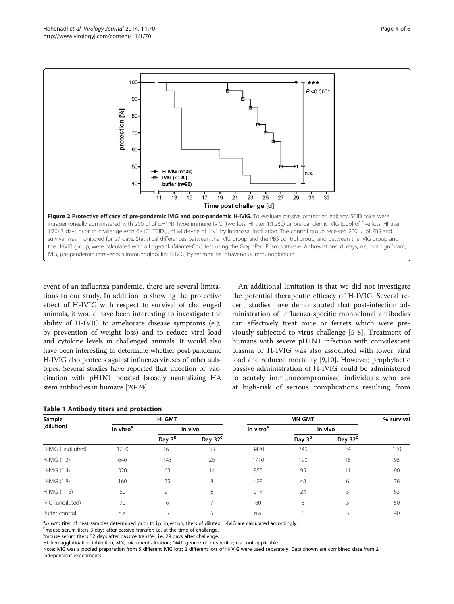<span id="page-3-0"></span>

event of an influenza pandemic, there are several limitations to our study. In addition to showing the protective effect of H-IVIG with respect to survival of challenged animals, it would have been interesting to investigate the ability of H-IVIG to ameliorate disease symptoms (e.g. by prevention of weight loss) and to reduce viral load and cytokine levels in challenged animals. It would also have been interesting to determine whether post-pandemic H-IVIG also protects against influenza viruses of other subtypes. Several studies have reported that infection or vaccination with pH1N1 boosted broadly neutralizing HA stem antibodies in humans [[20](#page-4-0)-[24](#page-5-0)].

| An additional limitation is that we did not investigate   |
|-----------------------------------------------------------|
| the potential therapeutic efficacy of H-IVIG. Several re- |
| cent studies have demonstrated that post-infection ad-    |
| ministration of influenza-specific monoclonal antibodies  |
| can effectively treat mice or ferrets which were pre-     |
| viously subjected to virus challenge [5-8]. Treatment of  |
| humans with severe pH1N1 infection with convalescent      |
| plasma or H-IVIG was also associated with lower viral     |
| load and reduced mortality [9,10]. However, prophylactic  |
| passive administration of H-IVIG could be administered    |
| to acutely immunocompromised individuals who are          |
| at high-risk of serious complications resulting from      |
|                                                           |

| Sample<br>(dilution) | HI GMT                |                    |            | <b>MN GMT</b>         |                    |            | % surviva |
|----------------------|-----------------------|--------------------|------------|-----------------------|--------------------|------------|-----------|
|                      | In vitro <sup>a</sup> | In vivo            |            | In vitro <sup>a</sup> | In vivo            |            |           |
|                      |                       | Day 3 <sup>b</sup> | Day $32^c$ |                       | Day 3 <sup>b</sup> | Day $32^c$ |           |
| H-IVIG (undiluted)   | 1280                  | 163                | 33         | 3420                  | 349                | 34         | 100       |
| H-IVIG (1:2)         | 640                   | 143                | 26         | 1710                  | 190                | 15         | 95        |
| H-IVIG (1:4)         | 320                   | 63                 | 14         | 855                   | 95                 | 11         | 90        |
| H-IVIG (1:8)         | 160                   | 35                 | 8          | 428                   | 48                 | 6          | 76        |
| H-IVIG (1:16)        | 80                    | 21                 | 6          | 214                   | 24                 |            | 63        |
| IVIG (undiluted)     | 70                    | 6                  |            | 60                    | 5                  |            | 50        |
| Buffer control       | n.a.                  |                    |            | n.a.                  |                    |            | 40        |

#### Table 1 Antibody titers and protection

<sup>a</sup>in vitro titer of neat samples determined prior to i.p. injection; titers of diluted H-IVIG are calculated accordingly.<br>Provise serum titers 3 days after passive transfer: i.e. at the time of challenge.

b<sub>mouse</sub> serum titers 3 days after passive transfer; i.e. at the time of challenge.

<sup>c</sup>mouse serum titers 32 days after passive transfer; i.e. 29 days after challenge.

HI, hemagglutination inhibition; MN, microneutralization; GMT, geometric mean titer; n.a., not applicable.

Note: IVIG was a pooled preparation from 5 different IVIG lots; 2 different lots of H-IVIG were used separately. Data shown are combined data from 2 independent experiments.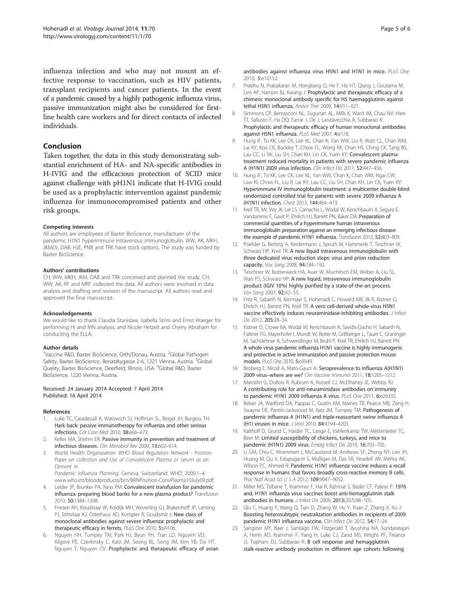<span id="page-4-0"></span>influenza infection and who may not mount an effective response to vaccination, such as HIV patients, transplant recipients and cancer patients. In the event of a pandemic caused by a highly pathogenic influenza virus, passive immunization might also be considered for firstline health care workers and for direct contacts of infected individuals.

# Conclusion

Taken together, the data in this study demonstrating substantial enrichment of HA- and NA-specific antibodies in H-IVIG and the efficacious protection of SCID mice against challenge with pH1N1 indicate that H-IVIG could be used as a prophylactic intervention against pandemic influenza for immunocompromised patients and other risk groups.

#### Competing interests

All authors are employees of Baxter BioScience, manufacturer of the pandemic H1N1 hyperimmune intravenous immunoglobulin. WW, AK, MKH, JKMcV, DAB, HJE, PNB and TRK have stock options. The study was funded by Baxter BioScience.

#### Authors' contributions

CH, WW, MKH, JKM, DAB and TRK conceived and planned the study. CH, WW; AK, RF and MRF collected the data. All authors were involved in data analysis and drafting and revision of the manuscript. All authors read and approved the final manuscript.

#### Acknowledgements

We would like to thank Claudia Stanislaw, Isabella Strini and Ernst Waeger for performing HI and MN analysis, and Nicole Hetzelt and Cherry Abraham for conducting the ELLA.

#### Author details

<sup>1</sup>Vaccine R&D, Baxter BioScience, Orth/Donau, Austria. <sup>2</sup>Global Pathogen Safety, Baxter BioScience, Benatzkygasse 2-6, 1221 Vienna, Austria. <sup>3</sup>Global Quality, Baxter BioScience, Deerfield, Illinois, USA. <sup>4</sup>Global R&D, Baxter BioScience, 1220 Vienna, Austria.

#### Received: 24 January 2014 Accepted: 7 April 2014 Published: 16 April 2014

#### References

- 1. Luke TC, Casadevall A, Watowich SJ, Hoffman SL, Beigel JH, Burgess TH: Hark back: passive immunotherapy for influenza and other serious infections. Crit Care Med 2010, 38:e66–e73.
- Keller MA, Stiehm ER: Passive immunity in prevention and treatment of infectious diseases. Clin Microbiol Rev 2000, 13:602–614.
- 3. World Health Organization: WHO Blood Regulators Network Position Paper on collection and Use of Convalescent Plasma or Serum as an Element in Pandemic Influenza Planning. Geneva, Switzerland: WHO; 2009:1–4.

www.who.int/bloodproducts/brn/BRNPosition-ConvPlasma10July09.pdf.

- Leider JP, Brunker PA, Ness PM: Convalescent transfusion for pandemic influenza: preparing blood banks for a new plasma product? Transfusion 2010, 50:1384–1398.
- 5. Friesen RH, Koudstaal W, Koldijk MH, Weverling GJ, Brakenhoff JP, Lenting PJ, Stittelaar KJ, Osterhaus AD, Kompier R, Goudsmit J: New class of monoclonal antibodies against severe influenza: prophylactic and therapeutic efficacy in ferrets. PLoS One 2010, 5:e9106.
- 6. Nguyen HH, Tumpey TM, Park HJ, Byun YH, Tran LD, Nguyen VD, Kilgore PE, Czerkinsky C, Katz JM, Seong BL, Song JM, Kim YB, Do HT, Nguyen T, Nguyen CV: Prophylactic and therapeutic efficacy of avian

antibodies against influenza virus H5N1 and H1N1 in mice. PLoS One 2010, 5:e10152.

- 7. Prabhu N, Prabakaran M, Hongliang Q, He F, Ho HT, Qiang J, Goutama M, Lim AP, Hanson BJ, Kwang J: Prophylactic and therapeutic efficacy of a chimeric monoclonal antibody specific for H5 haemagglutinin against lethal H5N1 influenza. Antivir Ther 2009, 14:911–921.
- 8. Simmons CP, Bernasconi NL, Suguitan AL, Mills K, Ward JM, Chau NV, Hien TT, Sallusto F, Ha DQ, Farrar J, De J, Lanzavecchia A, Subbarao K: Prophylactic and therapeutic efficacy of human monoclonal antibodies against H5N1 influenza. PLoS Med 2007, 4:e178.
- 9. Hung IF, To KK, Lee CK, Lee KL, Chan K, Yan WW, Liu R, Watt CL, Chan WM, Lai KY, Koo CK, Buckley T, Chow FL, Wong KK, Chan HS, Ching CK, Tang BS, Lau CC, Li IW, Liu SH, Chan KH, Lin CK, Yuen KY: Convalescent plasma treatment reduced mortality in patients with severe pandemic influenza A (H1N1) 2009 virus infection. Clin Infect Dis 2011, 52:447–456.
- 10. Hung IF, To KK, Lee CK, Lee KL, Yan WW, Chan K, Chan WM, Ngai CW, Law KI, Chow FL, Liu R, Lai KY, Lau CC, Liu SH, Chan KH, Lin CK, Yuen KY: Hyperimmune IV immunoglobulin treatment: a multicenter double-blind randomized controlled trial for patients with severe 2009 influenza A (H1N1) infection. Chest 2013, 144:464–473.
- 11. Kreil TR, Mc Vey JK, Lei LS, Camacho L, Wodal W, Kerschbaum A, Segura E, Vandamme E, Gavit P, Ehrlich HJ, Barrett PN, Baker DA: Preparation of commercial quantities of a hyperimmune human intravenous immunoglobulin preparation against an emerging infectious disease: the example of pandemic H1N1 influenza. Transfusion 2012, 52:803–809.
- 12. Poelsler G, Berting A, Kindermann J, Spruth M, Hammerle T, Teschner W, Schwarz HP, Kreil TR: A new liquid intravenous immunoglobulin with three dedicated virus reduction steps: virus and prion reduction capacity. Vox Sang 2008, 94:184-192.
- 13. Teschner W, Butterweck HA, Auer W, Muchitsch EM, Weber A, Liu SL, Wah PS, Schwarz HP: A new liquid, intravenous immunoglobulin product (IGIV 10%) highly purified by a state-of-the-art process. Vox Sang 2007, 92:42–55.
- 14. Fritz R, Sabarth N, Kiermayr S, Hohenadl C, Howard MK, Ilk R, Kistner O, Ehrlich HJ, Barrett PN, Kreil TR: A vero cell-derived whole-virus H5N1 vaccine effectively induces neuraminidase-inhibiting antibodies. J Infect Dis 2012, 205:28–34.
- 15. Kistner O, Crowe BA, Wodal W, Kerschbaum A, Savidis-Dacho H, Sabarth N, Falkner FG, Mayerhofer I, Mundt W, Reiter M, Grillberger L, Tauer C, Graninger M, Sachslehner A, Schwendinger M, Bruhl P, Kreil TR, Ehrlich HJ, Barrett PN: A whole virus pandemic influenza H1N1 vaccine is highly immunogenic and protective in active immunization and passive protection mouse models. PLoS One 2010, 5:e9349.
- 16. Broberg E, Nicoll A, Mato-Gauci A: Seroprevalence to influenza A(H1N1) 2009 virus–where are we? Clin Vaccine Immunol 2011, 18:1205–1212.
- 17. Marcelin G, DuBois R, Rubrum A, Russell CJ, McElhaney JE, Webby RJ: A contributing role for anti-neuraminidase antibodies on immunity to pandemic H1N1 2009 influenza A virus. PLoS One 2011, 6:e26335.
- 18. Belser JA, Wadford DA, Pappas C, Gustin KM, Maines TR, Pearce MB, Zeng H, Swayne DE, Pantin-Jackwood M, Katz JM, Tumpey TM: Pathogenesis of pandemic influenza A (H1N1) and triple-reassortant swine influenza A (H1) viruses in mice. J Virol 2010, 84:4194–4203.
- 19. Kalthoff D, Grund C, Harder TC, Lange E, Vahlenkamp TW, Mettenleiter TC, Beer M: Limited susceptibility of chickens, turkeys, and mice to pandemic (H1N1) 2009 virus. Emerg Infect Dis 2010, 16:703–705.
- 20. Li GM, Chiu C, Wrammert J, McCausland M, Andrews SF, Zheng NY, Lee JH, Huang M, Qu X, Edupuganti S, Mulligan M, Das SR, Yewdell JW, Mehta AK, Wilson PC, Ahmed R: Pandemic H1N1 influenza vaccine induces a recall response in humans that favors broadly cross-reactive memory B cells. Proc Natl Acad Sci U S A 2012, 109:9047–9052.
- 21. Miller MS, Tsibane T, Krammer F, Hai R, Rahmat S, Basler CF, Palese P: 1976 and, H1N1 influenza virus vaccines boost anti-hemagglutinin stalk antibodies in humans. J Infect Dis 2009, 2013(207):98–105.
- 22. Qiu C, Huang Y, Wang Q, Tian D, Zhang W, Hu Y, Yuan Z, Zhang X, Xu J: Boosting heterosubtypic neutralization antibodies in recipients of 2009 pandemic H1N1 influenza vaccine. Clin Infect Dis 2012, 54:17–24.
- 23. Sangster MY, Baer J, Santiago FW, Fitzgerald T, Ilyushina NA, Sundararajan A, Henn AD, Krammer F, Yang H, Luke CJ, Zand MS, Wright PF, Treanor JJ, Topham DJ, Subbarao K: **B cell response and hemagglutinin** stalk-reactive antibody production in different age cohorts following